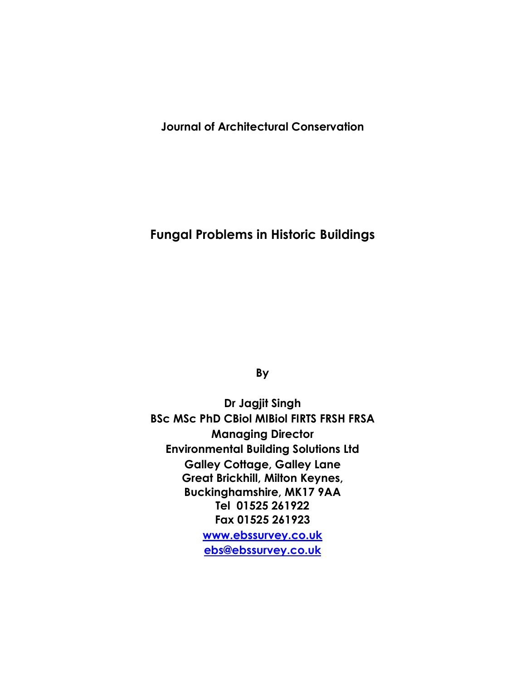Journal of Architectural Conservation

# Fungal Problems in Historic Buildings

By

Dr Jagjit Singh BSc MSc PhD CBiol MIBiol FIRTS FRSH FRSA Managing Director Environmental Building Solutions Ltd Galley Cottage, Galley Lane Great Brickhill, Milton Keynes, Buckinghamshire, MK17 9AA Tel 01525 261922 Fax 01525 261923 www.ebssurvey.co.uk ebs@ebssurvey.co.uk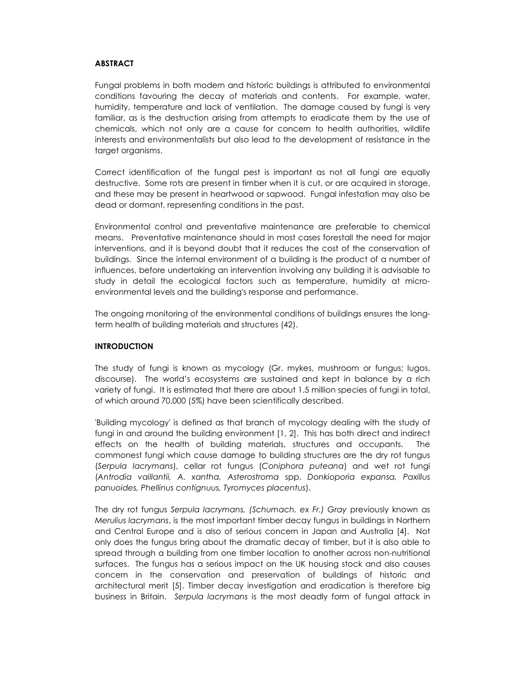## ABSTRACT

Fungal problems in both modern and historic buildings is attributed to environmental conditions favouring the decay of materials and contents. For example, water, humidity, temperature and lack of ventilation. The damage caused by fungi is very familiar, as is the destruction arising from attempts to eradicate them by the use of chemicals, which not only are a cause for concern to health authorities, wildlife interests and environmentalists but also lead to the development of resistance in the target organisms.

Correct identification of the fungal pest is important as not all fungi are equally destructive. Some rots are present in timber when it is cut, or are acquired in storage, and these may be present in heartwood or sapwood. Fungal infestation may also be dead or dormant, representing conditions in the past.

Environmental control and preventative maintenance are preferable to chemical means. Preventative maintenance should in most cases forestall the need for major interventions, and it is beyond doubt that it reduces the cost of the conservation of buildings. Since the internal environment of a building is the product of a number of influences, before undertaking an intervention involving any building it is advisable to study in detail the ecological factors such as temperature, humidity at microenvironmental levels and the building's response and performance.

The ongoing monitoring of the environmental conditions of buildings ensures the longterm health of building materials and structures (42).

# INTRODUCTION

The study of fungi is known as mycology (Gr. mykes, mushroom or fungus; lugos, discourse). The world's ecosystems are sustained and kept in balance by a rich variety of fungi. It is estimated that there are about 1.5 million species of fungi in total, of which around 70,000 (5%) have been scientifically described.

'Building mycology' is defined as that branch of mycology dealing with the study of fungi in and around the building environment [1, 2]. This has both direct and indirect effects on the health of building materials, structures and occupants. The commonest fungi which cause damage to building structures are the dry rot fungus (Serpula lacrymans), cellar rot fungus (Coniphora puteana) and wet rot fungi (Antrodia vaillantii, A. xantha, Asterostroma spp, Donkioporia expansa, Paxillus panuoides, Phellinus contignuus, Tyromyces placentus).

The dry rot fungus Serpula lacrymans, (Schumach. ex Fr.) Gray previously known as Merulius lacrymans, is the most important timber decay fungus in buildings in Northern and Central Europe and is also of serious concern in Japan and Australia [4]. Not only does the fungus bring about the dramatic decay of timber, but it is also able to spread through a building from one timber location to another across non-nutritional surfaces. The fungus has a serious impact on the UK housing stock and also causes concern in the conservation and preservation of buildings of historic and architectural merit [5]. Timber decay investigation and eradication is therefore big business in Britain. Serpula lacrymans is the most deadly form of fungal attack in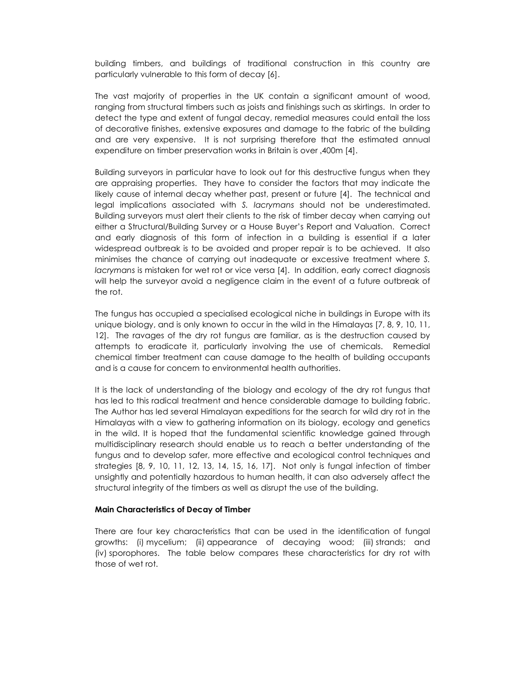building timbers, and buildings of traditional construction in this country are particularly vulnerable to this form of decay [6].

The vast majority of properties in the UK contain a significant amount of wood, ranging from structural timbers such as joists and finishings such as skirtings. In order to detect the type and extent of fungal decay, remedial measures could entail the loss of decorative finishes, extensive exposures and damage to the fabric of the building and are very expensive. It is not surprising therefore that the estimated annual expenditure on timber preservation works in Britain is over ,400m [4].

Building surveyors in particular have to look out for this destructive fungus when they are appraising properties. They have to consider the factors that may indicate the likely cause of internal decay whether past, present or future [4]. The technical and legal implications associated with S. lacrymans should not be underestimated. Building surveyors must alert their clients to the risk of timber decay when carrying out either a Structural/Building Survey or a House Buyer's Report and Valuation. Correct and early diagnosis of this form of infection in a building is essential if a later widespread outbreak is to be avoided and proper repair is to be achieved. It also minimises the chance of carrying out inadequate or excessive treatment where S. lacrymans is mistaken for wet rot or vice versa [4]. In addition, early correct diagnosis will help the surveyor avoid a negligence claim in the event of a future outbreak of the rot.

The fungus has occupied a specialised ecological niche in buildings in Europe with its unique biology, and is only known to occur in the wild in the Himalayas [7, 8, 9, 10, 11, 12]. The ravages of the dry rot fungus are familiar, as is the destruction caused by attempts to eradicate it, particularly involving the use of chemicals. Remedial chemical timber treatment can cause damage to the health of building occupants and is a cause for concern to environmental health authorities.

It is the lack of understanding of the biology and ecology of the dry rot fungus that has led to this radical treatment and hence considerable damage to building fabric. The Author has led several Himalayan expeditions for the search for wild dry rot in the Himalayas with a view to gathering information on its biology, ecology and genetics in the wild. It is hoped that the fundamental scientific knowledge gained through multidisciplinary research should enable us to reach a better understanding of the fungus and to develop safer, more effective and ecological control techniques and strategies [8, 9, 10, 11, 12, 13, 14, 15, 16, 17]. Not only is fungal infection of timber unsightly and potentially hazardous to human health, it can also adversely affect the structural integrity of the timbers as well as disrupt the use of the building.

#### Main Characteristics of Decay of Timber

There are four key characteristics that can be used in the identification of fungal growths: (i) mycelium; (ii) appearance of decaying wood; (iii) strands; and (iv) sporophores. The table below compares these characteristics for dry rot with those of wet rot.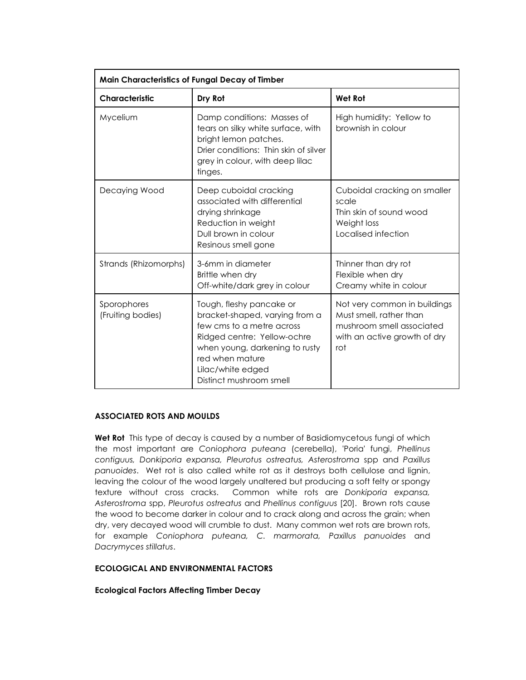| Main Characteristics of Fungal Decay of Timber |                                                                                                                                                                                                                             |                                                                                                                             |  |
|------------------------------------------------|-----------------------------------------------------------------------------------------------------------------------------------------------------------------------------------------------------------------------------|-----------------------------------------------------------------------------------------------------------------------------|--|
| Characteristic                                 | Dry Rot                                                                                                                                                                                                                     | <b>Wet Rot</b>                                                                                                              |  |
| Mycelium                                       | Damp conditions: Masses of<br>tears on silky white surface, with<br>bright lemon patches.<br>Drier conditions: Thin skin of silver<br>grey in colour, with deep lilac<br>tinges.                                            | High humidity: Yellow to<br>brownish in colour                                                                              |  |
| Decaying Wood                                  | Deep cuboidal cracking<br>associated with differential<br>drying shrinkage<br>Reduction in weight<br>Dull brown in colour<br>Resinous smell gone                                                                            | Cuboidal cracking on smaller<br>scale<br>Thin skin of sound wood<br>Weight loss<br>Localised infection                      |  |
| Strands (Rhizomorphs)                          | 3-6mm in diameter<br>Brittle when dry<br>Off-white/dark grey in colour                                                                                                                                                      | Thinner than dry rot<br>Flexible when dry<br>Creamy white in colour                                                         |  |
| Sporophores<br>(Fruiting bodies)               | Tough, fleshy pancake or<br>bracket-shaped, varying from a<br>few cms to a metre across<br>Ridged centre: Yellow-ochre<br>when young, darkening to rusty<br>red when mature<br>Lilac/white edged<br>Distinct mushroom smell | Not very common in buildings<br>Must smell, rather than<br>mushroom smell associated<br>with an active growth of dry<br>rot |  |

# ASSOCIATED ROTS AND MOULDS

Wet Rot This type of decay is caused by a number of Basidiomycetous fungi of which the most important are Coniophora puteana (cerebella), 'Poria' fungi, Phellinus contiguus, Donkiporia expansa, Pleurotus ostreatus, Asterostroma spp and Paxillus panuoides. Wet rot is also called white rot as it destroys both cellulose and lignin, leaving the colour of the wood largely unaltered but producing a soft felty or spongy texture without cross cracks. Common white rots are Donkiporia expansa, Asterostroma spp, Pleurotus ostreatus and Phellinus contiguus [20]. Brown rots cause the wood to become darker in colour and to crack along and across the grain; when dry, very decayed wood will crumble to dust. Many common wet rots are brown rots, for example Coniophora puteana, C. marmorata, Paxillus panuoides and Dacrymyces stillatus.

# ECOLOGICAL AND ENVIRONMENTAL FACTORS

Ecological Factors Affecting Timber Decay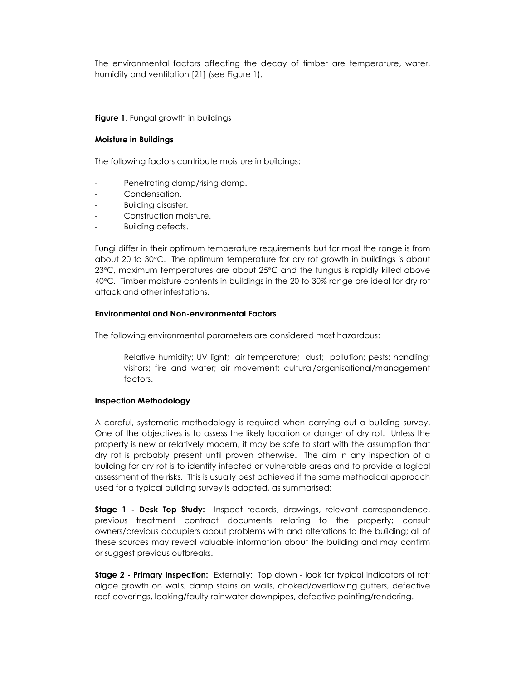The environmental factors affecting the decay of timber are temperature, water, humidity and ventilation [21] (see Figure 1).

# Figure 1. Fungal growth in buildings

#### Moisture in Buildings

The following factors contribute moisture in buildings:

- Penetrating damp/rising damp.
- Condensation.
- Building disaster.
- Construction moisture.
- Building defects.

Fungi differ in their optimum temperature requirements but for most the range is from about 20 to 30°C. The optimum temperature for dry rot growth in buildings is about 23°C, maximum temperatures are about 25°C and the fungus is rapidly killed above 40°C. Timber moisture contents in buildings in the 20 to 30% range are ideal for dry rot attack and other infestations.

#### Environmental and Non-environmental Factors

The following environmental parameters are considered most hazardous:

Relative humidity; UV light; air temperature; dust; pollution; pests; handling; visitors; fire and water; air movement; cultural/organisational/management factors.

#### Inspection Methodology

A careful, systematic methodology is required when carrying out a building survey. One of the objectives is to assess the likely location or danger of dry rot. Unless the property is new or relatively modern, it may be safe to start with the assumption that dry rot is probably present until proven otherwise. The aim in any inspection of a building for dry rot is to identify infected or vulnerable areas and to provide a logical assessment of the risks. This is usually best achieved if the same methodical approach used for a typical building survey is adopted, as summarised:

**Stage 1 - Desk Top Study:** Inspect records, drawings, relevant correspondence, previous treatment contract documents relating to the property; consult owners/previous occupiers about problems with and alterations to the building; all of these sources may reveal valuable information about the building and may confirm or suggest previous outbreaks.

**Stage 2 - Primary Inspection:** Externally: Top down - look for typical indicators of rot; algae growth on walls, damp stains on walls, choked/overflowing gutters, defective roof coverings, leaking/faulty rainwater downpipes, defective pointing/rendering.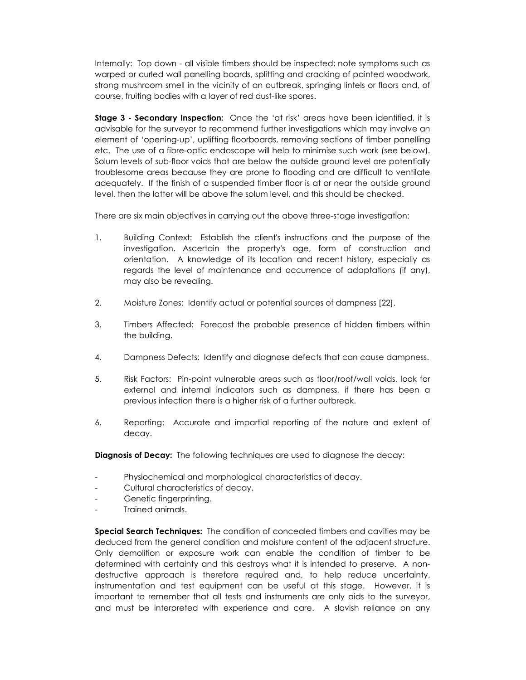Internally: Top down - all visible timbers should be inspected; note symptoms such as warped or curled wall panelling boards, splitting and cracking of painted woodwork, strong mushroom smell in the vicinity of an outbreak, springing lintels or floors and, of course, fruiting bodies with a layer of red dust-like spores.

Stage 3 - Secondary Inspection: Once the 'at risk' areas have been identified, it is advisable for the surveyor to recommend further investigations which may involve an element of 'opening-up', uplifting floorboards, removing sections of timber panelling etc. The use of a fibre-optic endoscope will help to minimise such work (see below). Solum levels of sub-floor voids that are below the outside ground level are potentially troublesome areas because they are prone to flooding and are difficult to ventilate adequately. If the finish of a suspended timber floor is at or near the outside ground level, then the latter will be above the solum level, and this should be checked.

There are six main objectives in carrying out the above three-stage investigation:

- 1. Building Context: Establish the client's instructions and the purpose of the investigation. Ascertain the property's age, form of construction and orientation. A knowledge of its location and recent history, especially as regards the level of maintenance and occurrence of adaptations (if any), may also be revealing.
- 2. Moisture Zones: Identify actual or potential sources of dampness [22].
- 3. Timbers Affected: Forecast the probable presence of hidden timbers within the building.
- 4. Dampness Defects: Identify and diagnose defects that can cause dampness.
- 5. Risk Factors: Pin-point vulnerable areas such as floor/roof/wall voids, look for external and internal indicators such as dampness, if there has been a previous infection there is a higher risk of a further outbreak.
- 6. Reporting: Accurate and impartial reporting of the nature and extent of decay.

**Diagnosis of Decay:** The following techniques are used to diagnose the decay:

- Physiochemical and morphological characteristics of decay.
- Cultural characteristics of decay.
- Genetic fingerprinting.
- Trained animals.

Special Search Techniques: The condition of concealed timbers and cavities may be deduced from the general condition and moisture content of the adjacent structure. Only demolition or exposure work can enable the condition of timber to be determined with certainty and this destroys what it is intended to preserve. A nondestructive approach is therefore required and, to help reduce uncertainty, instrumentation and test equipment can be useful at this stage. However, it is important to remember that all tests and instruments are only aids to the surveyor, and must be interpreted with experience and care. A slavish reliance on any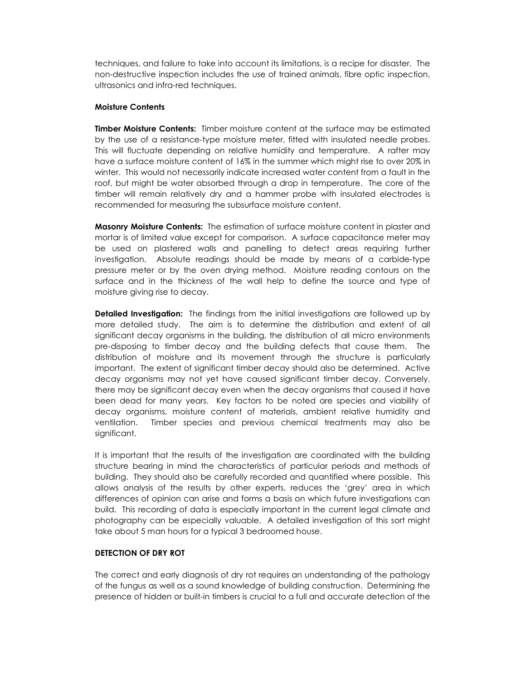techniques, and failure to take into account its limitations, is a recipe for disaster. The non-destructive inspection includes the use of trained animals, fibre optic inspection, ultrasonics and infra-red techniques.

#### Moisture Contents

**Timber Moisture Contents:** Timber moisture content at the surface may be estimated by the use of a resistance-type moisture meter, fitted with insulated needle probes. This will fluctuate depending on relative humidity and temperature. A rafter may have a surface moisture content of 16% in the summer which might rise to over 20% in winter. This would not necessarily indicate increased water content from a fault in the roof, but might be water absorbed through a drop in temperature. The core of the timber will remain relatively dry and a hammer probe with insulated electrodes is recommended for measuring the subsurface moisture content.

Masonry Moisture Contents: The estimation of surface moisture content in plaster and mortar is of limited value except for comparison. A surface capacitance meter may be used on plastered walls and panelling to detect areas requiring further investigation. Absolute readings should be made by means of a carbide-type pressure meter or by the oven drying method. Moisture reading contours on the surface and in the thickness of the wall help to define the source and type of moisture giving rise to decay.

**Detailed Investigation:** The findings from the initial investigations are followed up by more detailed study. The aim is to determine the distribution and extent of all significant decay organisms in the building, the distribution of all micro environments pre-disposing to timber decay and the building defects that cause them. The distribution of moisture and its movement through the structure is particularly important. The extent of significant timber decay should also be determined. Active decay organisms may not yet have caused significant timber decay. Conversely, there may be significant decay even when the decay organisms that caused it have been dead for many years. Key factors to be noted are species and viability of decay organisms, moisture content of materials, ambient relative humidity and ventilation. Timber species and previous chemical treatments may also be significant.

It is important that the results of the investigation are coordinated with the building structure bearing in mind the characteristics of particular periods and methods of building. They should also be carefully recorded and quantified where possible. This allows analysis of the results by other experts, reduces the 'grey' area in which differences of opinion can arise and forms a basis on which future investigations can build. This recording of data is especially important in the current legal climate and photography can be especially valuable. A detailed investigation of this sort might take about 5 man hours for a typical 3 bedroomed house.

# DETECTION OF DRY ROT

The correct and early diagnosis of dry rot requires an understanding of the pathology of the fungus as well as a sound knowledge of building construction. Determining the presence of hidden or built-in timbers is crucial to a full and accurate detection of the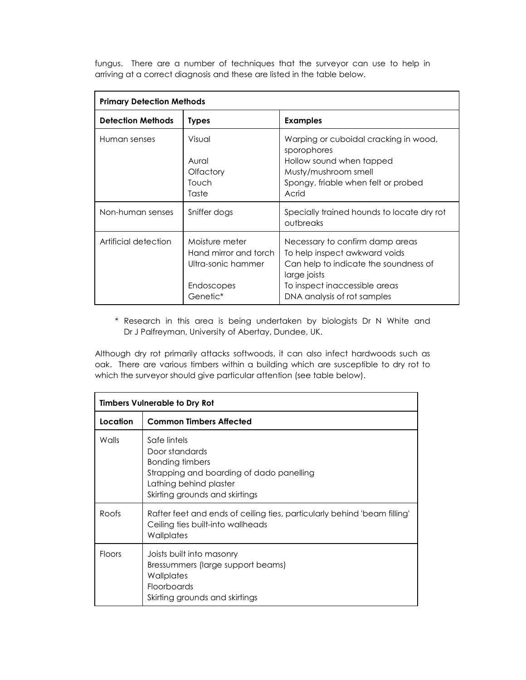fungus. There are a number of techniques that the surveyor can use to help in arriving at a correct diagnosis and these are listed in the table below.

| <b>Primary Detection Methods</b> |                                                                                                |                                                                                                                                                                                           |  |
|----------------------------------|------------------------------------------------------------------------------------------------|-------------------------------------------------------------------------------------------------------------------------------------------------------------------------------------------|--|
| <b>Detection Methods</b>         | <b>Types</b>                                                                                   | <b>Examples</b>                                                                                                                                                                           |  |
| Human senses                     | Visual<br>Aural<br>Olfactory<br>Touch<br>Taste                                                 | Warping or cuboidal cracking in wood,<br>sporophores<br>Hollow sound when tapped<br>Musty/mushroom smell<br>Spongy, friable when felt or probed<br>Acrid                                  |  |
| Non-human senses                 | Sniffer dogs                                                                                   | Specially trained hounds to locate dry rot<br>outbreaks                                                                                                                                   |  |
| Artificial detection             | Moisture meter<br>Hand mirror and torch<br>Ultra-sonic hammer<br><b>Endoscopes</b><br>Genetic* | Necessary to confirm damp areas<br>To help inspect awkward voids<br>Can help to indicate the soundness of<br>large joists<br>To inspect inaccessible areas<br>DNA analysis of rot samples |  |

 \* Research in this area is being undertaken by biologists Dr N White and Dr J Palfreyman, University of Abertay, Dundee, UK.

Although dry rot primarily attacks softwoods, it can also infect hardwoods such as oak. There are various timbers within a building which are susceptible to dry rot to which the surveyor should give particular attention (see table below).

| <b>Timbers Vulnerable to Dry Rot</b> |                                                                                                                                                           |  |
|--------------------------------------|-----------------------------------------------------------------------------------------------------------------------------------------------------------|--|
| Location                             | <b>Common Timbers Affected</b>                                                                                                                            |  |
| Walls                                | Safe lintels<br>Door standards<br>Bonding timbers<br>Strapping and boarding of dado panelling<br>Lathing behind plaster<br>Skirting grounds and skirtings |  |
| Roofs                                | Rafter feet and ends of ceiling ties, particularly behind 'beam filling'<br>Ceiling ties built-into wallheads<br>Wallplates                               |  |
| <b>Floors</b>                        | Joists built into masonry<br>Bressummers (large support beams)<br>Wallplates<br><b>Floorboards</b><br>Skirting grounds and skirtings                      |  |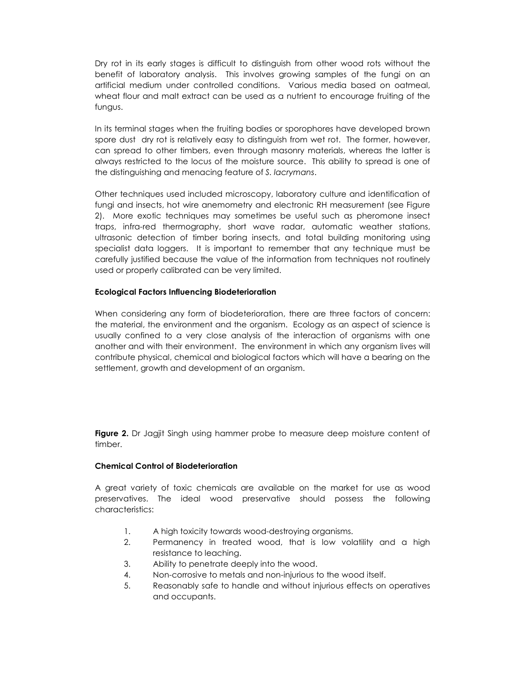Dry rot in its early stages is difficult to distinguish from other wood rots without the benefit of laboratory analysis. This involves growing samples of the fungi on an artificial medium under controlled conditions. Various media based on oatmeal, wheat flour and malt extract can be used as a nutrient to encourage fruiting of the fungus.

In its terminal stages when the fruiting bodies or sporophores have developed brown spore dust dry rot is relatively easy to distinguish from wet rot. The former, however, can spread to other timbers, even through masonry materials, whereas the latter is always restricted to the locus of the moisture source. This ability to spread is one of the distinguishing and menacing feature of S. lacrymans.

Other techniques used included microscopy, laboratory culture and identification of fungi and insects, hot wire anemometry and electronic RH measurement (see Figure 2). More exotic techniques may sometimes be useful such as pheromone insect traps, infra-red thermography, short wave radar, automatic weather stations, ultrasonic detection of timber boring insects, and total building monitoring using specialist data loggers. It is important to remember that any technique must be carefully justified because the value of the information from techniques not routinely used or properly calibrated can be very limited.

# Ecological Factors Influencing Biodeterioration

When considering any form of biodeterioration, there are three factors of concern: the material, the environment and the organism. Ecology as an aspect of science is usually confined to a very close analysis of the interaction of organisms with one another and with their environment. The environment in which any organism lives will contribute physical, chemical and biological factors which will have a bearing on the settlement, growth and development of an organism.

Figure 2. Dr Jagjit Singh using hammer probe to measure deep moisture content of timber.

# Chemical Control of Biodeterioration

A great variety of toxic chemicals are available on the market for use as wood preservatives. The ideal wood preservative should possess the following characteristics:

- 1. A high toxicity towards wood-destroying organisms.
- 2. Permanency in treated wood, that is low volatility and a high resistance to leaching.
- 3. Ability to penetrate deeply into the wood.
- 4. Non-corrosive to metals and non-injurious to the wood itself.
- 5. Reasonably safe to handle and without injurious effects on operatives and occupants.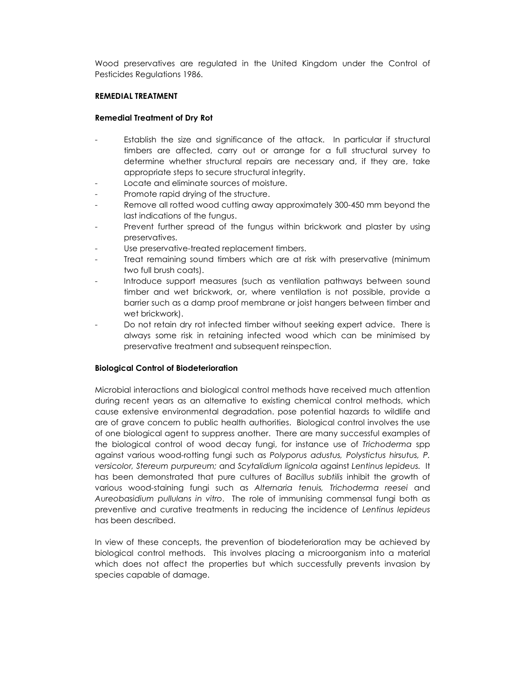Wood preservatives are regulated in the United Kingdom under the Control of Pesticides Regulations 1986.

#### REMEDIAL TREATMENT

#### Remedial Treatment of Dry Rot

- Establish the size and significance of the attack. In particular if structural timbers are affected, carry out or arrange for a full structural survey to determine whether structural repairs are necessary and, if they are, take appropriate steps to secure structural integrity.
- Locate and eliminate sources of moisture.
- Promote rapid drying of the structure.
- Remove all rotted wood cutting away approximately 300-450 mm beyond the last indications of the fungus.
- Prevent further spread of the fungus within brickwork and plaster by using preservatives.
- Use preservative-treated replacement timbers.
- Treat remaining sound timbers which are at risk with preservative (minimum two full brush coats).
- Introduce support measures (such as ventilation pathways between sound timber and wet brickwork, or, where ventilation is not possible, provide a barrier such as a damp proof membrane or joist hangers between timber and wet brickwork).
- Do not retain dry rot infected timber without seeking expert advice. There is always some risk in retaining infected wood which can be minimised by preservative treatment and subsequent reinspection.

# Biological Control of Biodeterioration

Microbial interactions and biological control methods have received much attention during recent years as an alternative to existing chemical control methods, which cause extensive environmental degradation. pose potential hazards to wildlife and are of grave concern to public health authorities. Biological control involves the use of one biological agent to suppress another. There are many successful examples of the biological control of wood decay fungi, for instance use of Trichoderma spp against various wood-rotting fungi such as Polyporus adustus, Polystictus hirsutus, P. versicolor, Stereum purpureum; and Scytalidium lignicola against Lentinus lepideus. It has been demonstrated that pure cultures of Bacillus subtilis inhibit the growth of various wood-staining fungi such as Alternaria tenuis, Trichoderma reesei and Aureobasidium pullulans in vitro. The role of immunising commensal fungi both as preventive and curative treatments in reducing the incidence of Lentinus lepideus has been described.

In view of these concepts, the prevention of biodeterioration may be achieved by biological control methods. This involves placing a microorganism into a material which does not affect the properties but which successfully prevents invasion by species capable of damage.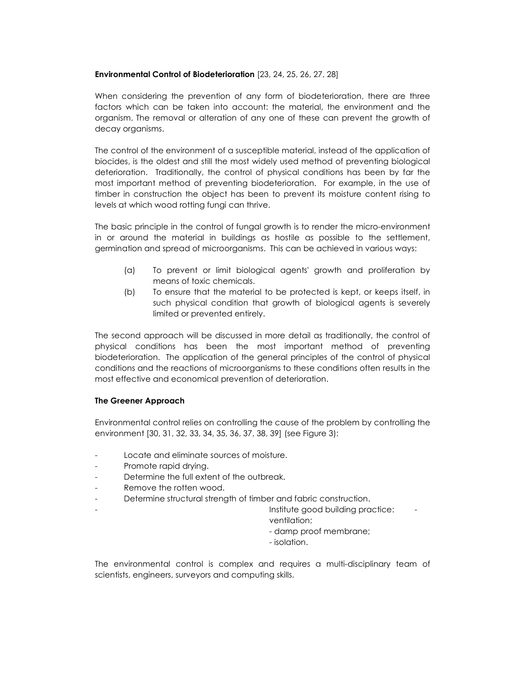# Environmental Control of Biodeterioration [23, 24, 25, 26, 27, 28]

When considering the prevention of any form of biodeterioration, there are three factors which can be taken into account: the material, the environment and the organism. The removal or alteration of any one of these can prevent the growth of decay organisms.

The control of the environment of a susceptible material, instead of the application of biocides, is the oldest and still the most widely used method of preventing biological deterioration. Traditionally, the control of physical conditions has been by far the most important method of preventing biodeterioration. For example, in the use of timber in construction the object has been to prevent its moisture content rising to levels at which wood rotting fungi can thrive.

The basic principle in the control of fungal growth is to render the micro-environment in or around the material in buildings as hostile as possible to the settlement, germination and spread of microorganisms. This can be achieved in various ways:

- (a) To prevent or limit biological agents' growth and proliferation by means of toxic chemicals.
- (b) To ensure that the material to be protected is kept, or keeps itself, in such physical condition that growth of biological agents is severely limited or prevented entirely.

The second approach will be discussed in more detail as traditionally, the control of physical conditions has been the most important method of preventing biodeterioration. The application of the general principles of the control of physical conditions and the reactions of microorganisms to these conditions often results in the most effective and economical prevention of deterioration.

# The Greener Approach

Environmental control relies on controlling the cause of the problem by controlling the environment [30, 31, 32, 33, 34, 35, 36, 37, 38, 39] (see Figure 3):

- Locate and eliminate sources of moisture.
- Promote rapid drying.
- Determine the full extent of the outbreak.
- Remove the rotten wood.
- Determine structural strength of timber and fabric construction.

Institute good building practice:

ventilation;

- damp proof membrane;

- isolation.

The environmental control is complex and requires a multi-disciplinary team of scientists, engineers, surveyors and computing skills.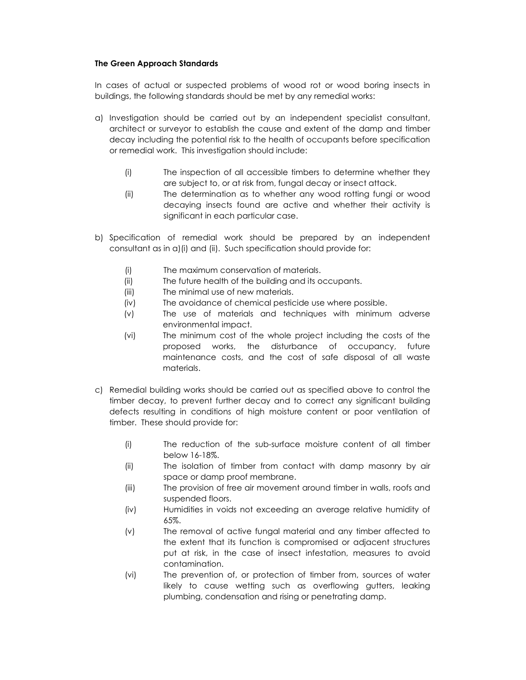# The Green Approach Standards

In cases of actual or suspected problems of wood rot or wood boring insects in buildings, the following standards should be met by any remedial works:

- a) Investigation should be carried out by an independent specialist consultant, architect or surveyor to establish the cause and extent of the damp and timber decay including the potential risk to the health of occupants before specification or remedial work. This investigation should include:
	- (i) The inspection of all accessible timbers to determine whether they are subject to, or at risk from, fungal decay or insect attack.
	- (ii) The determination as to whether any wood rotting fungi or wood decaying insects found are active and whether their activity is significant in each particular case.
- b) Specification of remedial work should be prepared by an independent consultant as in a)(i) and (ii). Such specification should provide for:
	- (i) The maximum conservation of materials.
	- (ii) The future health of the building and its occupants.
	- (iii) The minimal use of new materials.
	- (iv) The avoidance of chemical pesticide use where possible.
	- (v) The use of materials and techniques with minimum adverse environmental impact.
	- (vi) The minimum cost of the whole project including the costs of the proposed works, the disturbance of occupancy, future maintenance costs, and the cost of safe disposal of all waste materials.
- c) Remedial building works should be carried out as specified above to control the timber decay, to prevent further decay and to correct any significant building defects resulting in conditions of high moisture content or poor ventilation of timber. These should provide for:
	- (i) The reduction of the sub-surface moisture content of all timber below 16-18%.
	- (ii) The isolation of timber from contact with damp masonry by air space or damp proof membrane.
	- (iii) The provision of free air movement around timber in walls, roofs and suspended floors.
	- (iv) Humidities in voids not exceeding an average relative humidity of 65%.
	- (v) The removal of active fungal material and any timber affected to the extent that its function is compromised or adjacent structures put at risk, in the case of insect infestation, measures to avoid contamination.
	- (vi) The prevention of, or protection of timber from, sources of water likely to cause wetting such as overflowing gutters, leaking plumbing, condensation and rising or penetrating damp.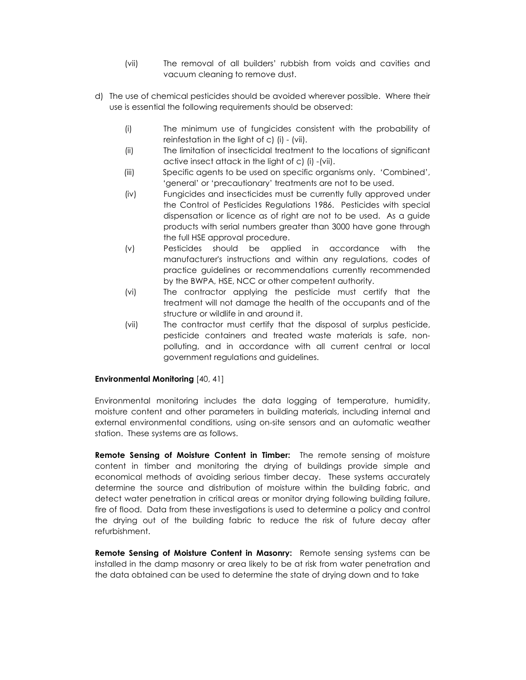- (vii) The removal of all builders' rubbish from voids and cavities and vacuum cleaning to remove dust.
- d) The use of chemical pesticides should be avoided wherever possible. Where their use is essential the following requirements should be observed:
	- (i) The minimum use of fungicides consistent with the probability of reinfestation in the light of c) (i) - (vii).
	- (ii) The limitation of insecticidal treatment to the locations of significant active insect attack in the light of c) (i) -(vii).
	- (iii) Specific agents to be used on specific organisms only. 'Combined', 'general' or 'precautionary' treatments are not to be used.
	- (iv) Fungicides and insecticides must be currently fully approved under the Control of Pesticides Regulations 1986. Pesticides with special dispensation or licence as of right are not to be used. As a guide products with serial numbers greater than 3000 have gone through the full HSE approval procedure.
	- (v) Pesticides should be applied in accordance with the manufacturer's instructions and within any regulations, codes of practice guidelines or recommendations currently recommended by the BWPA, HSE, NCC or other competent authority.
	- (vi) The contractor applying the pesticide must certify that the treatment will not damage the health of the occupants and of the structure or wildlife in and around it.
	- (vii) The contractor must certify that the disposal of surplus pesticide, pesticide containers and treated waste materials is safe, nonpolluting, and in accordance with all current central or local government regulations and guidelines.

# Environmental Monitoring [40, 41]

Environmental monitoring includes the data logging of temperature, humidity, moisture content and other parameters in building materials, including internal and external environmental conditions, using on-site sensors and an automatic weather station. These systems are as follows.

**Remote Sensing of Moisture Content in Timber:** The remote sensing of moisture content in timber and monitoring the drying of buildings provide simple and economical methods of avoiding serious timber decay. These systems accurately determine the source and distribution of moisture within the building fabric, and detect water penetration in critical areas or monitor drying following building failure, fire of flood. Data from these investigations is used to determine a policy and control the drying out of the building fabric to reduce the risk of future decay after refurbishment.

Remote Sensing of Moisture Content in Masonry: Remote sensing systems can be installed in the damp masonry or area likely to be at risk from water penetration and the data obtained can be used to determine the state of drying down and to take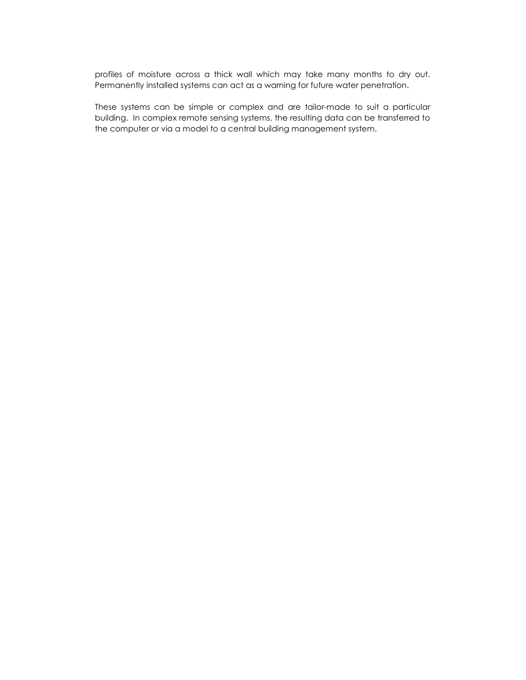profiles of moisture across a thick wall which may take many months to dry out. Permanently installed systems can act as a warning for future water penetration.

These systems can be simple or complex and are tailor-made to suit a particular building. In complex remote sensing systems, the resulting data can be transferred to the computer or via a model to a central building management system.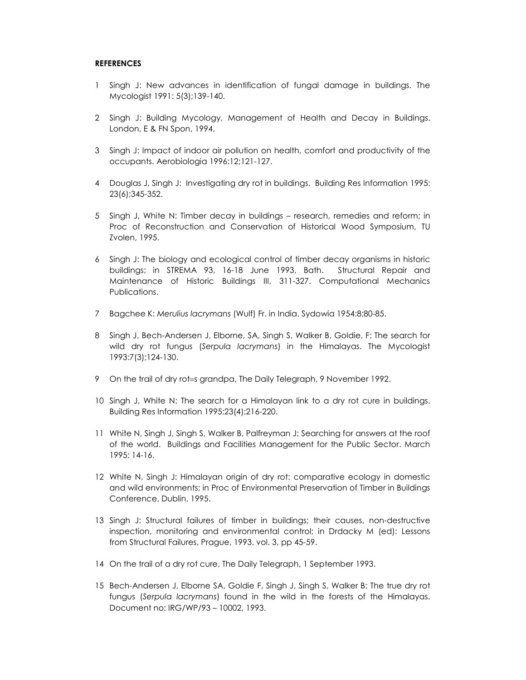#### **REFERENCES**

- 1 Singh J: New advances in identification of fungal damage in buildings. The Mycologist 1991: 5(3);139-140.
- 2 Singh J: Building Mycology, Management of Health and Decay in Buildings. London, E & FN Spon, 1994.
- 3 Singh J: Impact of indoor air pollution on health, comfort and productivity of the occupants. Aerobiologia 1996:12;121-127.
- 4 Douglas J, Singh J: Investigating dry rot in buildings. Building Res Information 1995: 23(6);345-352.
- 5 Singh J, White N: Timber decay in buildings research, remedies and reform; in Proc of Reconstruction and Conservation of Historical Wood Symposium, TU Zvolen, 1995.
- 6 Singh J: The biology and ecological control of timber decay organisms in historic buildings; in STREMA 93, 16-18 June 1993, Bath. Structural Repair and Maintenance of Historic Buildings III, 311-327. Computational Mechanics Publications.
- 7 Bagchee K: Merulius lacrymans (Wulf) Fr. in India. Sydowia 1954:8;80-85.
- 8 Singh J, Bech-Andersen J, Elborne, SA, Singh S, Walker B, Goldie, F: The search for wild dry rot fungus (Serpula lacrymans) in the Himalayas. The Mycologist 1993:7(3);124-130.
- 9 On the trail of dry rot=s grandpa, The Daily Telegraph, 9 November 1992.
- 10 Singh J, White N: The search for a Himalayan link to a dry rot cure in buildings. Building Res Information 1995:23(4);216-220.
- 11 White N, Singh J, Singh S, Walker B, Palfreyman J: Searching for answers at the roof of the world. Buildings and Facilities Management for the Public Sector. March 1995: 14-16.
- 12 White N, Singh J: Himalayan origin of dry rot: comparative ecology in domestic and wild environments; in Proc of Environmental Preservation of Timber in Buildings Conference, Dublin, 1995.
- 13 Singh J: Structural failures of timber in buildings; their causes, non-destructive inspection, monitoring and environmental control; in Drdacky M (ed): Lessons from Structural Failures, Prague, 1993. vol. 3, pp 45-59.
- 14 On the trail of a dry rot cure, The Daily Telegraph, 1 September 1993.
- 15 Bech-Andersen J, Elborne SA, Goldie F, Singh J, Singh S, Walker B: The true dry rot fungus (Serpula lacrymans) found in the wild in the forests of the Himalayas. Document no: IRG/WP/93 – 10002, 1993.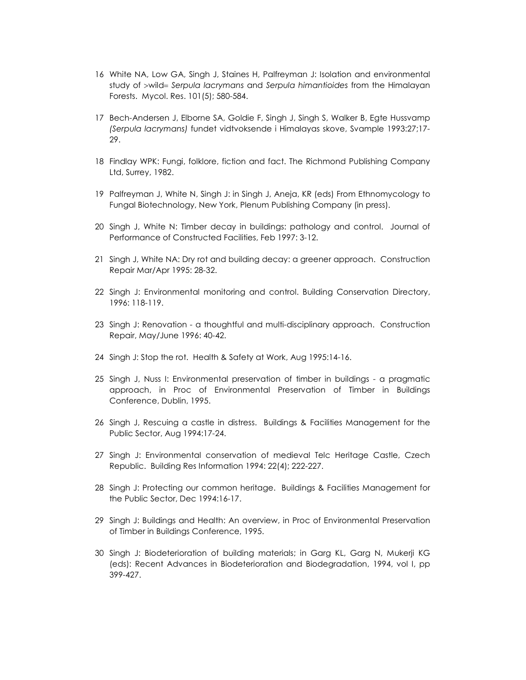- 16 White NA, Low GA, Singh J, Staines H, Palfreyman J: Isolation and environmental study of >wild= Serpula lacrymans and Serpula himantioides from the Himalayan Forests. Mycol. Res. 101(5); 580-584.
- 17 Bech-Andersen J, Elborne SA, Goldie F, Singh J, Singh S, Walker B, Egte Hussvamp (Serpula lacrymans) fundet vidtvoksende i Himalayas skove, Svample 1993:27;17- 29.
- 18 Findlay WPK: Fungi, folklore, fiction and fact. The Richmond Publishing Company Ltd, Surrey, 1982.
- 19 Palfreyman J, White N, Singh J: in Singh J, Aneja, KR (eds) From Ethnomycology to Fungal Biotechnology, New York, Plenum Publishing Company (in press).
- 20 Singh J, White N: Timber decay in buildings: pathology and control. Journal of Performance of Constructed Facilities, Feb 1997: 3-12.
- 21 Singh J, White NA: Dry rot and building decay: a greener approach. Construction Repair Mar/Apr 1995: 28-32.
- 22 Singh J: Environmental monitoring and control. Building Conservation Directory, 1996: 118-119.
- 23 Singh J: Renovation a thoughtful and multi-disciplinary approach. Construction Repair, May/June 1996: 40-42.
- 24 Singh J: Stop the rot. Health & Safety at Work, Aug 1995:14-16.
- 25 Singh J, Nuss I: Environmental preservation of timber in buildings a pragmatic approach, in Proc of Environmental Preservation of Timber in Buildings Conference, Dublin, 1995.
- 26 Singh J, Rescuing a castle in distress. Buildings & Facilities Management for the Public Sector, Aug 1994:17-24.
- 27 Singh J: Environmental conservation of medieval Telc Heritage Castle, Czech Republic. Building Res Information 1994: 22(4); 222-227.
- 28 Singh J: Protecting our common heritage. Buildings & Facilities Management for the Public Sector, Dec 1994:16-17.
- 29 Singh J: Buildings and Health: An overview, in Proc of Environmental Preservation of Timber in Buildings Conference, 1995.
- 30 Singh J: Biodeterioration of building materials; in Garg KL, Garg N, Mukerji KG (eds): Recent Advances in Biodeterioration and Biodegradation, 1994, vol I, pp 399-427.